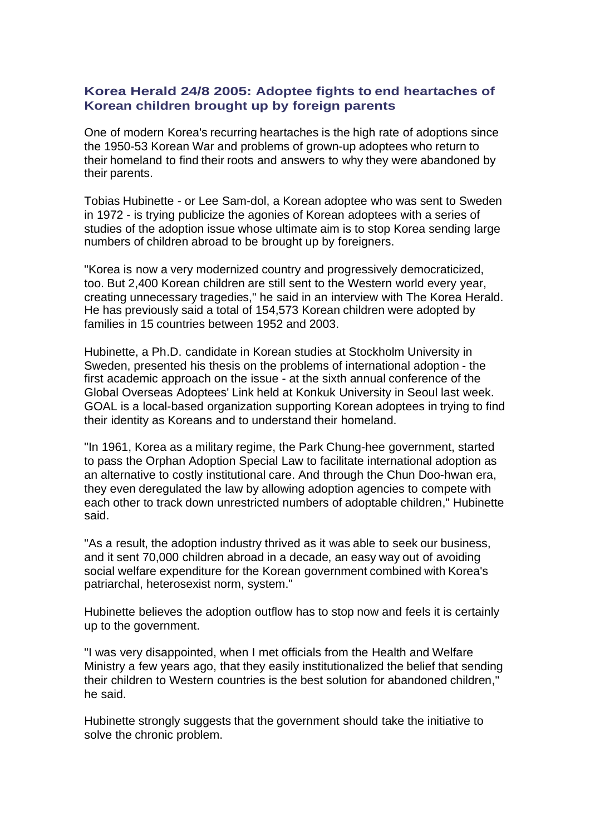## **Korea Herald 24/8 2005: Adoptee fights to end heartaches of Korean children brought up by foreign parents**

One of modern Korea's recurring heartaches is the high rate of adoptions since the 1950-53 Korean War and problems of grown-up adoptees who return to their homeland to find their roots and answers to why they were abandoned by their parents.

Tobias Hubinette - or Lee Sam-dol, a Korean adoptee who was sent to Sweden in 1972 - is trying publicize the agonies of Korean adoptees with a series of studies of the adoption issue whose ultimate aim is to stop Korea sending large numbers of children abroad to be brought up by foreigners.

"Korea is now a very modernized country and progressively democraticized, too. But 2,400 Korean children are still sent to the Western world every year, creating unnecessary tragedies," he said in an interview with The Korea Herald. He has previously said a total of 154,573 Korean children were adopted by families in 15 countries between 1952 and 2003.

Hubinette, a Ph.D. candidate in Korean studies at Stockholm University in Sweden, presented his thesis on the problems of international adoption - the first academic approach on the issue - at the sixth annual conference of the Global Overseas Adoptees' Link held at Konkuk University in Seoul last week. GOAL is a local-based organization supporting Korean adoptees in trying to find their identity as Koreans and to understand their homeland.

"In 1961, Korea as a military regime, the Park Chung-hee government, started to pass the Orphan Adoption Special Law to facilitate international adoption as an alternative to costly institutional care. And through the Chun Doo-hwan era, they even deregulated the law by allowing adoption agencies to compete with each other to track down unrestricted numbers of adoptable children," Hubinette said.

"As a result, the adoption industry thrived as it was able to seek our business, and it sent 70,000 children abroad in a decade, an easy way out of avoiding social welfare expenditure for the Korean government combined with Korea's patriarchal, heterosexist norm, system."

Hubinette believes the adoption outflow has to stop now and feels it is certainly up to the government.

"I was very disappointed, when I met officials from the Health and Welfare Ministry a few years ago, that they easily institutionalized the belief that sending their children to Western countries is the best solution for abandoned children," he said.

Hubinette strongly suggests that the government should take the initiative to solve the chronic problem.